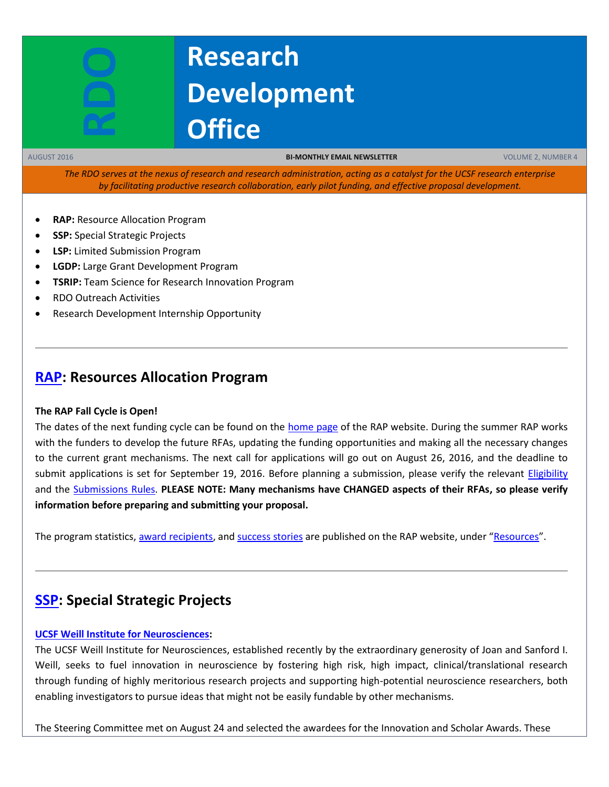

# **Research Development Office**

AUGUST 2016 **BI-MONTHLY EMAIL NEWSLETTER** VOLUME 2, NUMBER 4

*The RDO serves at the nexus of research and research administration, acting as a catalyst for the UCSF research enterprise by facilitating productive research collaboration, early pilot funding, and effective proposal development.*

- **RAP: Resource Allocation Program**
- **SSP:** Special Strategic Projects
- **LSP:** Limited Submission Program
- **LGDP:** Large Grant Development Program
- **TSRIP:** Team Science for Research Innovation Program
- RDO Outreach Activities
- Research Development Internship Opportunity

## **[RAP:](https://rap.ucsf.edu/) Resources Allocation Program**

#### **The RAP Fall Cycle is Open!**

The dates of the next funding cycle can be found on the [home page](http://rap.ucsf.edu/home) of the RAP website. During the summer RAP works with the funders to develop the future RFAs, updating the funding opportunities and making all the necessary changes to the current grant mechanisms. The next call for applications will go out on August 26, 2016, and the deadline to submit applications is set for September 19, 2016. Before planning a submission, please verify the relevant [Eligibility](http://rap.ucsf.edu/determine-eligibility-compare-grants) and the [Submissions Rules.](http://rap.ucsf.edu/submission-rules) **PLEASE NOTE: Many mechanisms have CHANGED aspects of their RFAs, so please verify information before preparing and submitting your proposal.**

The program statistics[, award recipients,](http://rap.ucsf.edu/past-awardees) an[d success stories](https://rap.ucsf.edu/success-stories-spring-2016) are published on the RAP website, under "[Resources](http://rap.ucsf.edu/resources)".

## **[SSP:](https://rap.ucsf.edu/) Special Strategic Projects**

#### **[UCSF Weill Institute for Neurosciences:](http://rdo.ucsf.edu/news/marcus-program-precision-medicine-innovation)**

The UCSF Weill Institute for Neurosciences, established recently by the extraordinary generosity of Joan and Sanford I. Weill, seeks to fuel innovation in neuroscience by fostering high risk, high impact, clinical/translational research through funding of highly meritorious research projects and supporting high-potential neuroscience researchers, both enabling investigators to pursue ideas that might not be easily fundable by other mechanisms.

The Steering Committee met on August 24 and selected the awardees for the Innovation and Scholar Awards. These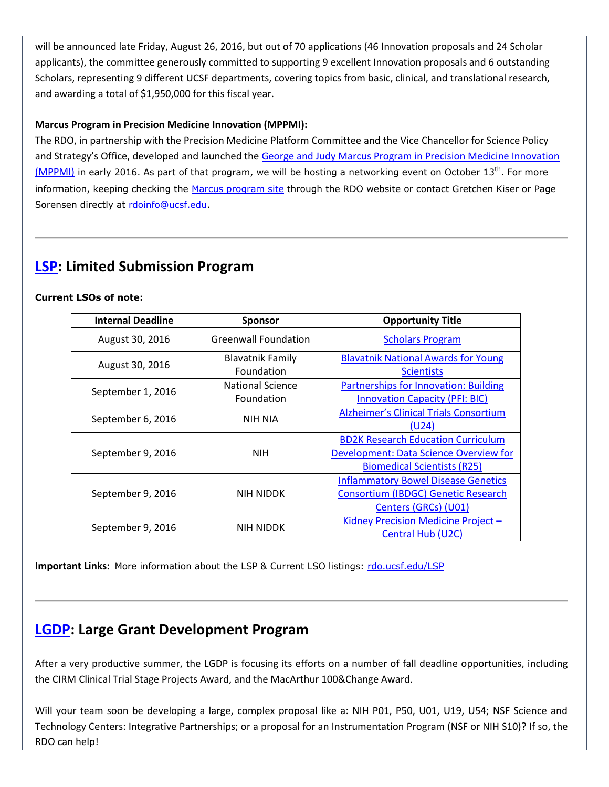will be announced late Friday, August 26, 2016, but out of 70 applications (46 Innovation proposals and 24 Scholar applicants), the committee generously committed to supporting 9 excellent Innovation proposals and 6 outstanding Scholars, representing 9 different UCSF departments, covering topics from basic, clinical, and translational research, and awarding a total of \$1,950,000 for this fiscal year.

#### **Marcus Program in Precision Medicine Innovation (MPPMI):**

The RDO, in partnership with the Precision Medicine Platform Committee and the Vice Chancellor for Science Policy and Strategy's Office, developed and launched the [George and Judy Marcus Program in Precision Medicine Innovation](http://rdo.ucsf.edu/news/marcus-program-precision-medicine-innovation)  [\(MPPMI\)](http://rdo.ucsf.edu/news/marcus-program-precision-medicine-innovation) in early 2016. As part of that program, we will be hosting a networking event on October  $13^{th}$ . For more information, keeping checking the [Marcus program site](http://rdo.ucsf.edu/news/marcus-program-precision-medicine-innovation) through the RDO website or contact Gretchen Kiser or Page Sorensen directly at [rdoinfo@ucsf.edu.](mailto:rdoinfo@ucsf.edu)

## **[LSP:](http://rdo.ucsf.edu/limited-submission-program-lsp) Limited Submission Program**

#### **Current LSOs of note:**

| <b>Internal Deadline</b> | <b>Sponsor</b>              | <b>Opportunity Title</b>                      |
|--------------------------|-----------------------------|-----------------------------------------------|
| August 30, 2016          | <b>Greenwall Foundation</b> | <b>Scholars Program</b>                       |
| August 30, 2016          | <b>Blavatnik Family</b>     | <b>Blavatnik National Awards for Young</b>    |
|                          | Foundation                  | <b>Scientists</b>                             |
| September 1, 2016        | <b>National Science</b>     | <b>Partnerships for Innovation: Building</b>  |
|                          | Foundation                  | <b>Innovation Capacity (PFI: BIC)</b>         |
| September 6, 2016        | NIH NIA                     | <b>Alzheimer's Clinical Trials Consortium</b> |
|                          |                             | (U24)                                         |
| September 9, 2016        | <b>NIH</b>                  | <b>BD2K Research Education Curriculum</b>     |
|                          |                             | Development: Data Science Overview for        |
|                          |                             | <b>Biomedical Scientists (R25)</b>            |
| September 9, 2016        | NIH NIDDK                   | <b>Inflammatory Bowel Disease Genetics</b>    |
|                          |                             | Consortium (IBDGC) Genetic Research           |
|                          |                             | Centers (GRCs) (U01)                          |
| September 9, 2016        | <b>NIH NIDDK</b>            | Kidney Precision Medicine Project -           |
|                          |                             | Central Hub (U2C)                             |

**Important Links:** More information about the LSP & Current LSO listings: [rdo.ucsf.edu/LSP](http://rdo.ucsf.edu/limited-submission-program-lsp)

## **[LGDP:](http://rdo.ucsf.edu/large-grant-development-program-lgdp) Large Grant Development Program**

After a very productive summer, the LGDP is focusing its efforts on a number of fall deadline opportunities, including the CIRM Clinical Trial Stage Projects Award, and the MacArthur 100&Change Award.

Will your team soon be developing a large, complex proposal like a: NIH P01, P50, U01, U19, U54; NSF Science and Technology Centers: Integrative Partnerships; or a proposal for an Instrumentation Program (NSF or NIH S10)? If so, the RDO can help!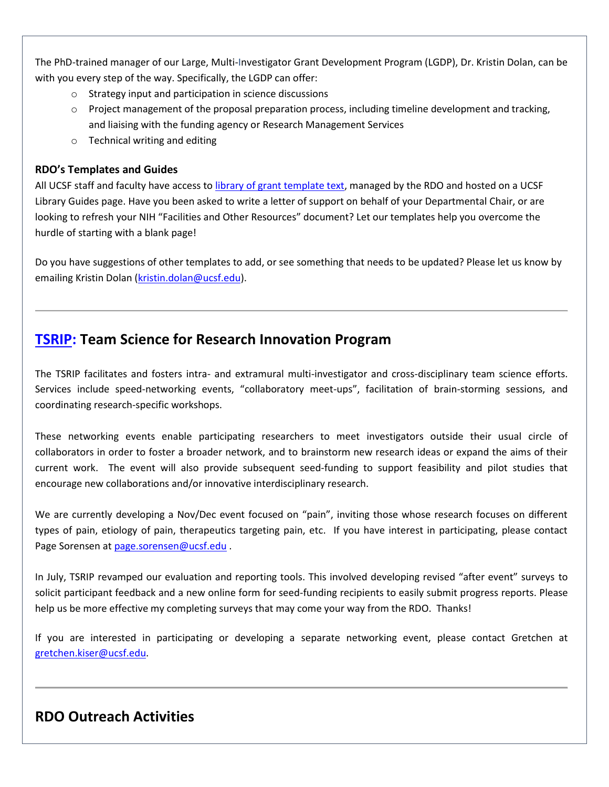The PhD-trained manager of our Large, Multi-Investigator Grant Development Program (LGDP), Dr. Kristin Dolan, can be with you every step of the way. Specifically, the LGDP can offer:

- o Strategy input and participation in science discussions
- o Project management of the proposal preparation process, including timeline development and tracking, and liaising with the funding agency or Research Management Services
- o Technical writing and editing

### **RDO's Templates and Guides**

All UCSF staff and faculty have access to [library of grant template text,](http://guides.ucsf.edu/rdo) managed by the RDO and hosted on a UCSF Library Guides page. Have you been asked to write a letter of support on behalf of your Departmental Chair, or are looking to refresh your NIH "Facilities and Other Resources" document? Let our templates help you overcome the hurdle of starting with a blank page!

Do you have suggestions of other templates to add, or see something that needs to be updated? Please let us know by emailing Kristin Dolan [\(kristin.dolan@ucsf.edu\)](mailto:kristin.dolan@ucsf.edu).

## **[TSRIP:](http://rdo.ucsf.edu/team-science-research-innovation-program-tsrip) Team Science for Research Innovation Program**

The TSRIP facilitates and fosters intra- and extramural multi-investigator and cross-disciplinary team science efforts. Services include speed-networking events, "collaboratory meet-ups", facilitation of brain-storming sessions, and coordinating research-specific workshops.

These networking events enable participating researchers to meet investigators outside their usual circle of collaborators in order to foster a broader network, and to brainstorm new research ideas or expand the aims of their current work. The event will also provide subsequent seed-funding to support feasibility and pilot studies that encourage new collaborations and/or innovative interdisciplinary research.

We are currently developing a Nov/Dec event focused on "pain", inviting those whose research focuses on different types of pain, etiology of pain, therapeutics targeting pain, etc. If you have interest in participating, please contact Page Sorensen at [page.sorensen@ucsf.edu](mailto:page.sorensen@ucsf.edu) .

In July, TSRIP revamped our evaluation and reporting tools. This involved developing revised "after event" surveys to solicit participant feedback and a new online form for seed-funding recipients to easily submit progress reports. Please help us be more effective my completing surveys that may come your way from the RDO. Thanks!

If you are interested in participating or developing a separate networking event, please contact Gretchen at [gretchen.kiser@ucsf.edu.](mailto:gretchen.kiser@ucsf.edu)

## **RDO Outreach Activities**